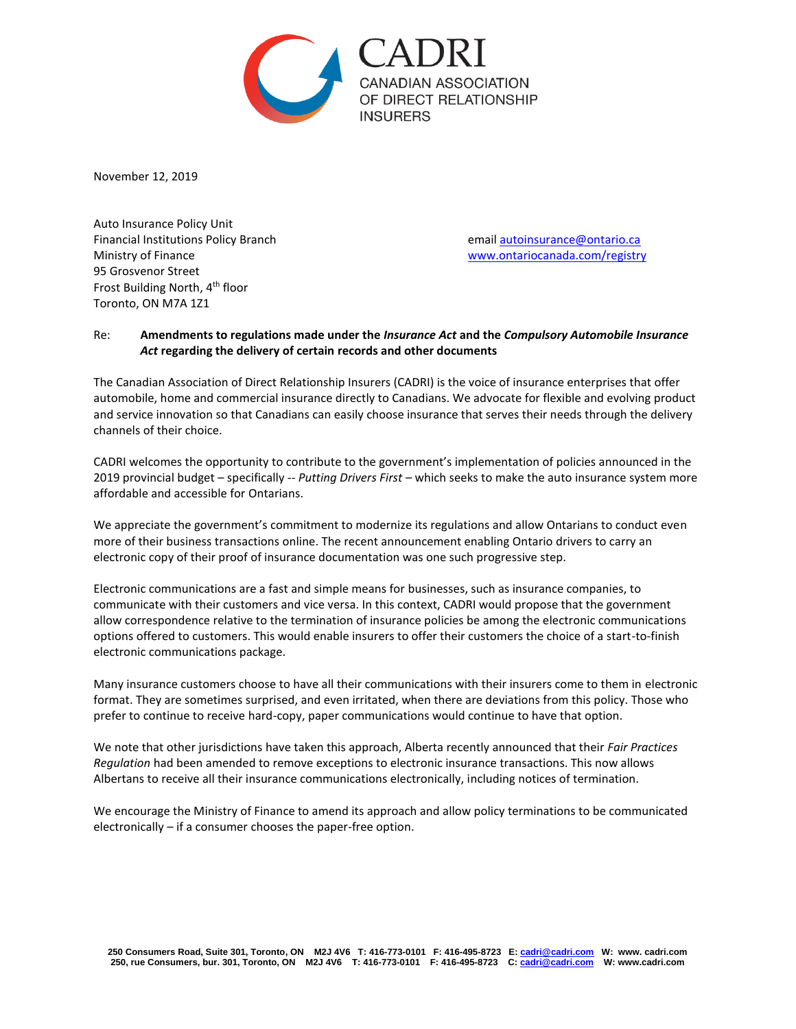

November 12, 2019

Auto Insurance Policy Unit Financial Institutions Policy Branch emai[l autoinsurance@ontario.ca](mailto:autoinsurance@ontario.ca) Ministry of Finance [www.ontariocanada.com/registry](http://www.ontariocanada.com/registry) 95 Grosvenor Street Frost Building North, 4th floor Toronto, ON M7A 1Z1

## Re: **Amendments to regulations made under the** *Insurance Act* **and the** *Compulsory Automobile Insurance Act* **regarding the delivery of certain records and other documents**

The Canadian Association of Direct Relationship Insurers (CADRI) is the voice of insurance enterprises that offer automobile, home and commercial insurance directly to Canadians. We advocate for flexible and evolving product and service innovation so that Canadians can easily choose insurance that serves their needs through the delivery channels of their choice.

CADRI welcomes the opportunity to contribute to the government's implementation of policies announced in the 2019 provincial budget – specifically -- *Putting Drivers First* – which seeks to make the auto insurance system more affordable and accessible for Ontarians.

We appreciate the government's commitment to modernize its regulations and allow Ontarians to conduct even more of their business transactions online. The recent announcement enabling Ontario drivers to carry an electronic copy of their proof of insurance documentation was one such progressive step.

Electronic communications are a fast and simple means for businesses, such as insurance companies, to communicate with their customers and vice versa. In this context, CADRI would propose that the government allow correspondence relative to the termination of insurance policies be among the electronic communications options offered to customers. This would enable insurers to offer their customers the choice of a start-to-finish electronic communications package.

Many insurance customers choose to have all their communications with their insurers come to them in electronic format. They are sometimes surprised, and even irritated, when there are deviations from this policy. Those who prefer to continue to receive hard-copy, paper communications would continue to have that option.

We note that other jurisdictions have taken this approach, Alberta recently announced that their *Fair Practices Regulation* had been amended to remove exceptions to electronic insurance transactions. This now allows Albertans to receive all their insurance communications electronically, including notices of termination.

We encourage the Ministry of Finance to amend its approach and allow policy terminations to be communicated electronically – if a consumer chooses the paper-free option.